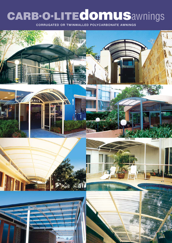# **CARB.O.LITEdomus**awnings

**CORRUGATED OR TWINWALLED POLYCARBONATE AWNINGS**